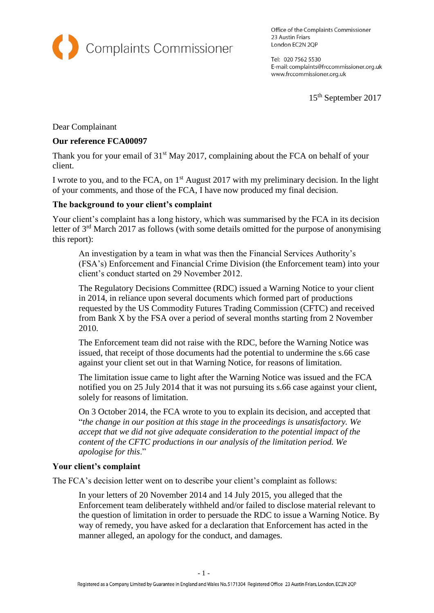

Office of the Complaints Commissioner 23 Austin Friars London EC2N 2QP

Tel: 020 7562 5530 E-mail: complaints@frccommissioner.org.uk www.frccommissioner.org.uk

15th September 2017

Dear Complainant

### **Our reference FCA00097**

Thank you for your email of  $31<sup>st</sup>$  May 2017, complaining about the FCA on behalf of your client.

I wrote to you, and to the FCA, on  $1<sup>st</sup>$  August 2017 with my preliminary decision. In the light of your comments, and those of the FCA, I have now produced my final decision.

### **The background to your client's complaint**

Your client's complaint has a long history, which was summarised by the FCA in its decision letter of  $3<sup>rd</sup>$  March 2017 as follows (with some details omitted for the purpose of anonymising this report):

An investigation by a team in what was then the Financial Services Authority's (FSA's) Enforcement and Financial Crime Division (the Enforcement team) into your client's conduct started on 29 November 2012.

The Regulatory Decisions Committee (RDC) issued a Warning Notice to your client in 2014, in reliance upon several documents which formed part of productions requested by the US Commodity Futures Trading Commission (CFTC) and received from Bank X by the FSA over a period of several months starting from 2 November 2010.

The Enforcement team did not raise with the RDC, before the Warning Notice was issued, that receipt of those documents had the potential to undermine the s.66 case against your client set out in that Warning Notice, for reasons of limitation.

The limitation issue came to light after the Warning Notice was issued and the FCA notified you on 25 July 2014 that it was not pursuing its s.66 case against your client, solely for reasons of limitation.

On 3 October 2014, the FCA wrote to you to explain its decision, and accepted that "*the change in our position at this stage in the proceedings is unsatisfactory. We accept that we did not give adequate consideration to the potential impact of the content of the CFTC productions in our analysis of the limitation period. We apologise for this*."

#### **Your client's complaint**

The FCA's decision letter went on to describe your client's complaint as follows:

In your letters of 20 November 2014 and 14 July 2015, you alleged that the Enforcement team deliberately withheld and/or failed to disclose material relevant to the question of limitation in order to persuade the RDC to issue a Warning Notice. By way of remedy, you have asked for a declaration that Enforcement has acted in the manner alleged, an apology for the conduct, and damages.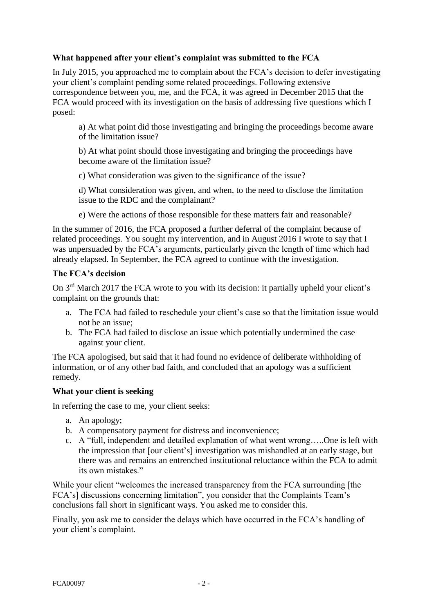# **What happened after your client's complaint was submitted to the FCA**

In July 2015, you approached me to complain about the FCA's decision to defer investigating your client's complaint pending some related proceedings. Following extensive correspondence between you, me, and the FCA, it was agreed in December 2015 that the FCA would proceed with its investigation on the basis of addressing five questions which I posed:

a) At what point did those investigating and bringing the proceedings become aware of the limitation issue?

b) At what point should those investigating and bringing the proceedings have become aware of the limitation issue?

c) What consideration was given to the significance of the issue?

d) What consideration was given, and when, to the need to disclose the limitation issue to the RDC and the complainant?

e) Were the actions of those responsible for these matters fair and reasonable?

In the summer of 2016, the FCA proposed a further deferral of the complaint because of related proceedings. You sought my intervention, and in August 2016 I wrote to say that I was unpersuaded by the FCA's arguments, particularly given the length of time which had already elapsed. In September, the FCA agreed to continue with the investigation.

# **The FCA's decision**

On 3<sup>rd</sup> March 2017 the FCA wrote to you with its decision: it partially upheld your client's complaint on the grounds that:

- a. The FCA had failed to reschedule your client's case so that the limitation issue would not be an issue;
- b. The FCA had failed to disclose an issue which potentially undermined the case against your client.

The FCA apologised, but said that it had found no evidence of deliberate withholding of information, or of any other bad faith, and concluded that an apology was a sufficient remedy.

# **What your client is seeking**

In referring the case to me, your client seeks:

- a. An apology;
- b. A compensatory payment for distress and inconvenience;
- c. A "full, independent and detailed explanation of what went wrong…..One is left with the impression that [our client's] investigation was mishandled at an early stage, but there was and remains an entrenched institutional reluctance within the FCA to admit its own mistakes."

While your client "welcomes the increased transparency from the FCA surrounding [the FCA's] discussions concerning limitation", you consider that the Complaints Team's conclusions fall short in significant ways. You asked me to consider this.

Finally, you ask me to consider the delays which have occurred in the FCA's handling of your client's complaint.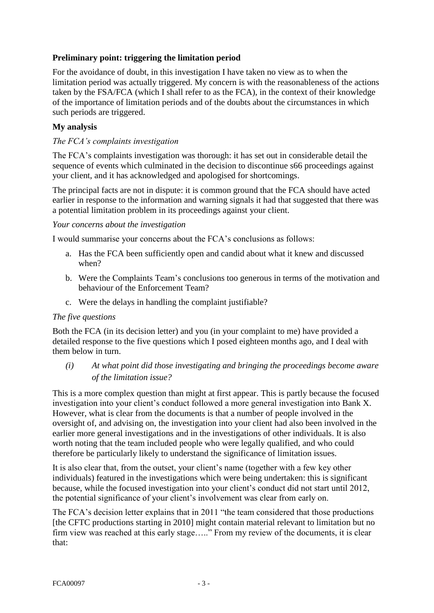# **Preliminary point: triggering the limitation period**

For the avoidance of doubt, in this investigation I have taken no view as to when the limitation period was actually triggered. My concern is with the reasonableness of the actions taken by the FSA/FCA (which I shall refer to as the FCA), in the context of their knowledge of the importance of limitation periods and of the doubts about the circumstances in which such periods are triggered.

# **My analysis**

### *The FCA's complaints investigation*

The FCA's complaints investigation was thorough: it has set out in considerable detail the sequence of events which culminated in the decision to discontinue s66 proceedings against your client, and it has acknowledged and apologised for shortcomings.

The principal facts are not in dispute: it is common ground that the FCA should have acted earlier in response to the information and warning signals it had that suggested that there was a potential limitation problem in its proceedings against your client.

### *Your concerns about the investigation*

I would summarise your concerns about the FCA's conclusions as follows:

- a. Has the FCA been sufficiently open and candid about what it knew and discussed when?
- b. Were the Complaints Team's conclusions too generous in terms of the motivation and behaviour of the Enforcement Team?
- c. Were the delays in handling the complaint justifiable?

#### *The five questions*

Both the FCA (in its decision letter) and you (in your complaint to me) have provided a detailed response to the five questions which I posed eighteen months ago, and I deal with them below in turn.

*(i) At what point did those investigating and bringing the proceedings become aware of the limitation issue?*

This is a more complex question than might at first appear. This is partly because the focused investigation into your client's conduct followed a more general investigation into Bank X. However, what is clear from the documents is that a number of people involved in the oversight of, and advising on, the investigation into your client had also been involved in the earlier more general investigations and in the investigations of other individuals. It is also worth noting that the team included people who were legally qualified, and who could therefore be particularly likely to understand the significance of limitation issues.

It is also clear that, from the outset, your client's name (together with a few key other individuals) featured in the investigations which were being undertaken: this is significant because, while the focused investigation into your client's conduct did not start until 2012, the potential significance of your client's involvement was clear from early on.

The FCA's decision letter explains that in 2011 "the team considered that those productions [the CFTC productions starting in 2010] might contain material relevant to limitation but no firm view was reached at this early stage….." From my review of the documents, it is clear that: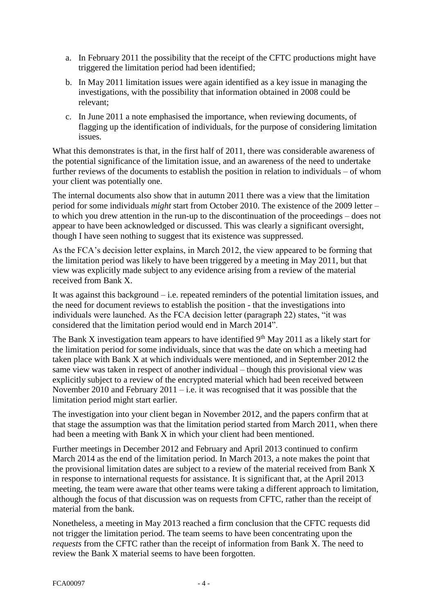- a. In February 2011 the possibility that the receipt of the CFTC productions might have triggered the limitation period had been identified;
- b. In May 2011 limitation issues were again identified as a key issue in managing the investigations, with the possibility that information obtained in 2008 could be relevant;
- c. In June 2011 a note emphasised the importance, when reviewing documents, of flagging up the identification of individuals, for the purpose of considering limitation issues.

What this demonstrates is that, in the first half of 2011, there was considerable awareness of the potential significance of the limitation issue, and an awareness of the need to undertake further reviews of the documents to establish the position in relation to individuals – of whom your client was potentially one.

The internal documents also show that in autumn 2011 there was a view that the limitation period for some individuals *might* start from October 2010. The existence of the 2009 letter – to which you drew attention in the run-up to the discontinuation of the proceedings – does not appear to have been acknowledged or discussed. This was clearly a significant oversight, though I have seen nothing to suggest that its existence was suppressed.

As the FCA's decision letter explains, in March 2012, the view appeared to be forming that the limitation period was likely to have been triggered by a meeting in May 2011, but that view was explicitly made subject to any evidence arising from a review of the material received from Bank X.

It was against this background – i.e. repeated reminders of the potential limitation issues, and the need for document reviews to establish the position - that the investigations into individuals were launched. As the FCA decision letter (paragraph 22) states, "it was considered that the limitation period would end in March 2014".

The Bank X investigation team appears to have identified  $9<sup>th</sup>$  May 2011 as a likely start for the limitation period for some individuals, since that was the date on which a meeting had taken place with Bank X at which individuals were mentioned, and in September 2012 the same view was taken in respect of another individual – though this provisional view was explicitly subject to a review of the encrypted material which had been received between November 2010 and February 2011 – i.e. it was recognised that it was possible that the limitation period might start earlier.

The investigation into your client began in November 2012, and the papers confirm that at that stage the assumption was that the limitation period started from March 2011, when there had been a meeting with Bank X in which your client had been mentioned.

Further meetings in December 2012 and February and April 2013 continued to confirm March 2014 as the end of the limitation period. In March 2013, a note makes the point that the provisional limitation dates are subject to a review of the material received from Bank X in response to international requests for assistance. It is significant that, at the April 2013 meeting, the team were aware that other teams were taking a different approach to limitation, although the focus of that discussion was on requests from CFTC, rather than the receipt of material from the bank.

Nonetheless, a meeting in May 2013 reached a firm conclusion that the CFTC requests did not trigger the limitation period. The team seems to have been concentrating upon the *requests* from the CFTC rather than the receipt of information from Bank X. The need to review the Bank X material seems to have been forgotten.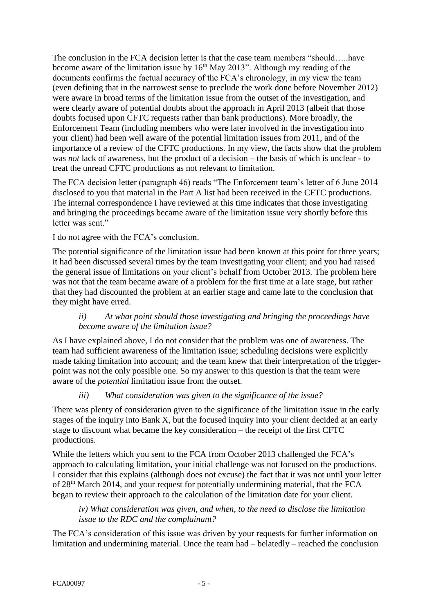The conclusion in the FCA decision letter is that the case team members "should…..have become aware of the limitation issue by  $16<sup>th</sup>$  May 2013". Although my reading of the documents confirms the factual accuracy of the FCA's chronology, in my view the team (even defining that in the narrowest sense to preclude the work done before November 2012) were aware in broad terms of the limitation issue from the outset of the investigation, and were clearly aware of potential doubts about the approach in April 2013 (albeit that those doubts focused upon CFTC requests rather than bank productions). More broadly, the Enforcement Team (including members who were later involved in the investigation into your client) had been well aware of the potential limitation issues from 2011, and of the importance of a review of the CFTC productions. In my view, the facts show that the problem was *not* lack of awareness, but the product of a decision – the basis of which is unclear - to treat the unread CFTC productions as not relevant to limitation.

The FCA decision letter (paragraph 46) reads "The Enforcement team's letter of 6 June 2014 disclosed to you that material in the Part A list had been received in the CFTC productions. The internal correspondence I have reviewed at this time indicates that those investigating and bringing the proceedings became aware of the limitation issue very shortly before this letter was sent."

I do not agree with the FCA's conclusion.

The potential significance of the limitation issue had been known at this point for three years; it had been discussed several times by the team investigating your client; and you had raised the general issue of limitations on your client's behalf from October 2013. The problem here was not that the team became aware of a problem for the first time at a late stage, but rather that they had discounted the problem at an earlier stage and came late to the conclusion that they might have erred.

### *ii) At what point should those investigating and bringing the proceedings have become aware of the limitation issue?*

As I have explained above, I do not consider that the problem was one of awareness. The team had sufficient awareness of the limitation issue; scheduling decisions were explicitly made taking limitation into account; and the team knew that their interpretation of the triggerpoint was not the only possible one. So my answer to this question is that the team were aware of the *potential* limitation issue from the outset.

# *iii) What consideration was given to the significance of the issue?*

There was plenty of consideration given to the significance of the limitation issue in the early stages of the inquiry into Bank X, but the focused inquiry into your client decided at an early stage to discount what became the key consideration – the receipt of the first CFTC productions.

While the letters which you sent to the FCA from October 2013 challenged the FCA's approach to calculating limitation, your initial challenge was not focused on the productions. I consider that this explains (although does not excuse) the fact that it was not until your letter of 28<sup>th</sup> March 2014, and your request for potentially undermining material, that the FCA began to review their approach to the calculation of the limitation date for your client.

### *iv) What consideration was given, and when, to the need to disclose the limitation issue to the RDC and the complainant?*

The FCA's consideration of this issue was driven by your requests for further information on limitation and undermining material. Once the team had – belatedly – reached the conclusion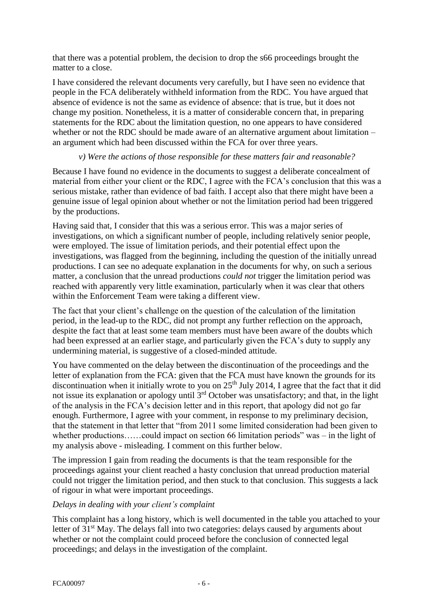that there was a potential problem, the decision to drop the s66 proceedings brought the matter to a close.

I have considered the relevant documents very carefully, but I have seen no evidence that people in the FCA deliberately withheld information from the RDC. You have argued that absence of evidence is not the same as evidence of absence: that is true, but it does not change my position. Nonetheless, it is a matter of considerable concern that, in preparing statements for the RDC about the limitation question, no one appears to have considered whether or not the RDC should be made aware of an alternative argument about limitation – an argument which had been discussed within the FCA for over three years.

### *v) Were the actions of those responsible for these matters fair and reasonable?*

Because I have found no evidence in the documents to suggest a deliberate concealment of material from either your client or the RDC, I agree with the FCA's conclusion that this was a serious mistake, rather than evidence of bad faith. I accept also that there might have been a genuine issue of legal opinion about whether or not the limitation period had been triggered by the productions.

Having said that, I consider that this was a serious error. This was a major series of investigations, on which a significant number of people, including relatively senior people, were employed. The issue of limitation periods, and their potential effect upon the investigations, was flagged from the beginning, including the question of the initially unread productions. I can see no adequate explanation in the documents for why, on such a serious matter, a conclusion that the unread productions *could not* trigger the limitation period was reached with apparently very little examination, particularly when it was clear that others within the Enforcement Team were taking a different view.

The fact that your client's challenge on the question of the calculation of the limitation period, in the lead-up to the RDC, did not prompt any further reflection on the approach, despite the fact that at least some team members must have been aware of the doubts which had been expressed at an earlier stage, and particularly given the FCA's duty to supply any undermining material, is suggestive of a closed-minded attitude.

You have commented on the delay between the discontinuation of the proceedings and the letter of explanation from the FCA: given that the FCA must have known the grounds for its discontinuation when it initially wrote to you on  $25<sup>th</sup>$  July 2014, I agree that the fact that it did not issue its explanation or apology until 3rd October was unsatisfactory; and that, in the light of the analysis in the FCA's decision letter and in this report, that apology did not go far enough. Furthermore, I agree with your comment, in response to my preliminary decision, that the statement in that letter that "from 2011 some limited consideration had been given to whether productions……could impact on section 66 limitation periods" was – in the light of my analysis above - misleading. I comment on this further below.

The impression I gain from reading the documents is that the team responsible for the proceedings against your client reached a hasty conclusion that unread production material could not trigger the limitation period, and then stuck to that conclusion. This suggests a lack of rigour in what were important proceedings.

# *Delays in dealing with your client's complaint*

This complaint has a long history, which is well documented in the table you attached to your letter of 31<sup>st</sup> May. The delays fall into two categories: delays caused by arguments about whether or not the complaint could proceed before the conclusion of connected legal proceedings; and delays in the investigation of the complaint.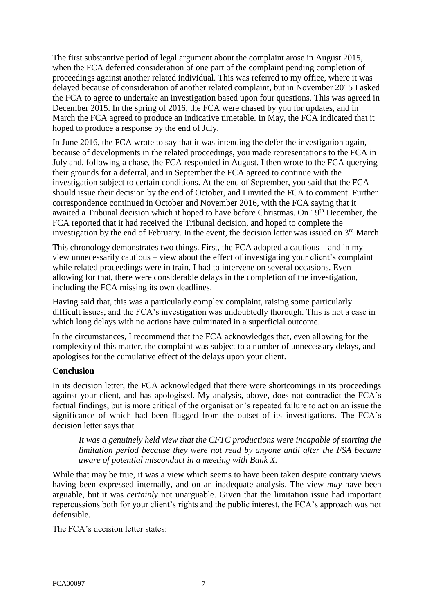The first substantive period of legal argument about the complaint arose in August 2015, when the FCA deferred consideration of one part of the complaint pending completion of proceedings against another related individual. This was referred to my office, where it was delayed because of consideration of another related complaint, but in November 2015 I asked the FCA to agree to undertake an investigation based upon four questions. This was agreed in December 2015. In the spring of 2016, the FCA were chased by you for updates, and in March the FCA agreed to produce an indicative timetable. In May, the FCA indicated that it hoped to produce a response by the end of July.

In June 2016, the FCA wrote to say that it was intending the defer the investigation again, because of developments in the related proceedings, you made representations to the FCA in July and, following a chase, the FCA responded in August. I then wrote to the FCA querying their grounds for a deferral, and in September the FCA agreed to continue with the investigation subject to certain conditions. At the end of September, you said that the FCA should issue their decision by the end of October, and I invited the FCA to comment. Further correspondence continued in October and November 2016, with the FCA saying that it awaited a Tribunal decision which it hoped to have before Christmas. On 19<sup>th</sup> December, the FCA reported that it had received the Tribunal decision, and hoped to complete the investigation by the end of February. In the event, the decision letter was issued on  $3<sup>rd</sup>$  March.

This chronology demonstrates two things. First, the FCA adopted a cautious – and in my view unnecessarily cautious – view about the effect of investigating your client's complaint while related proceedings were in train. I had to intervene on several occasions. Even allowing for that, there were considerable delays in the completion of the investigation, including the FCA missing its own deadlines.

Having said that, this was a particularly complex complaint, raising some particularly difficult issues, and the FCA's investigation was undoubtedly thorough. This is not a case in which long delays with no actions have culminated in a superficial outcome.

In the circumstances, I recommend that the FCA acknowledges that, even allowing for the complexity of this matter, the complaint was subject to a number of unnecessary delays, and apologises for the cumulative effect of the delays upon your client.

# **Conclusion**

In its decision letter, the FCA acknowledged that there were shortcomings in its proceedings against your client, and has apologised. My analysis, above, does not contradict the FCA's factual findings, but is more critical of the organisation's repeated failure to act on an issue the significance of which had been flagged from the outset of its investigations. The FCA's decision letter says that

*It was a genuinely held view that the CFTC productions were incapable of starting the limitation period because they were not read by anyone until after the FSA became aware of potential misconduct in a meeting with Bank X.*

While that may be true, it was a view which seems to have been taken despite contrary views having been expressed internally, and on an inadequate analysis. The view *may* have been arguable, but it was *certainly* not unarguable. Given that the limitation issue had important repercussions both for your client's rights and the public interest, the FCA's approach was not defensible.

The FCA's decision letter states: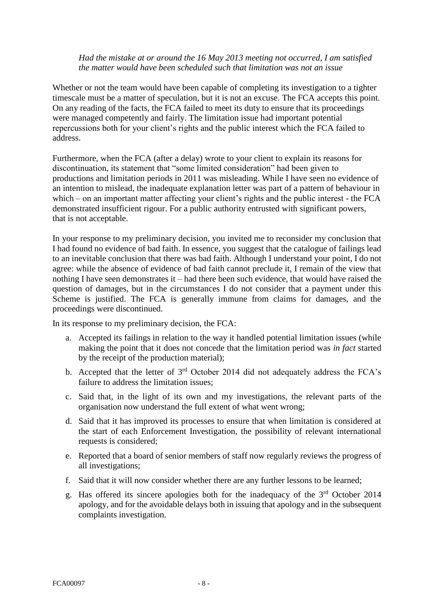#### *Had the mistake at or around the 16 May 2013 meeting not occurred, I am satisfied the matter would have been scheduled such that limitation was not an issue*

Whether or not the team would have been capable of completing its investigation to a tighter timescale must be a matter of speculation, but it is not an excuse. The FCA accepts this point. On any reading of the facts, the FCA failed to meet its duty to ensure that its proceedings were managed competently and fairly. The limitation issue had important potential repercussions both for your client's rights and the public interest which the FCA failed to address.

Furthermore, when the FCA (after a delay) wrote to your client to explain its reasons for discontinuation, its statement that "some limited consideration" had been given to productions and limitation periods in 2011 was misleading. While I have seen no evidence of an intention to mislead, the inadequate explanation letter was part of a pattern of behaviour in which – on an important matter affecting your client's rights and the public interest - the FCA demonstrated insufficient rigour. For a public authority entrusted with significant powers, that is not acceptable.

In your response to my preliminary decision, you invited me to reconsider my conclusion that I had found no evidence of bad faith. In essence, you suggest that the catalogue of failings lead to an inevitable conclusion that there was bad faith. Although I understand your point, I do not agree: while the absence of evidence of bad faith cannot preclude it, I remain of the view that nothing I have seen demonstrates it – had there been such evidence, that would have raised the question of damages, but in the circumstances I do not consider that a payment under this Scheme is justified. The FCA is generally immune from claims for damages, and the proceedings were discontinued.

In its response to my preliminary decision, the FCA:

- a. Accepted its failings in relation to the way it handled potential limitation issues (while making the point that it does not concede that the limitation period was *in fact* started by the receipt of the production material);
- b. Accepted that the letter of  $3<sup>rd</sup>$  October 2014 did not adequately address the FCA's failure to address the limitation issues;
- c. Said that, in the light of its own and my investigations, the relevant parts of the organisation now understand the full extent of what went wrong;
- d. Said that it has improved its processes to ensure that when limitation is considered at the start of each Enforcement Investigation, the possibility of relevant international requests is considered;
- e. Reported that a board of senior members of staff now regularly reviews the progress of all investigations;
- f. Said that it will now consider whether there are any further lessons to be learned;
- g. Has offered its sincere apologies both for the inadequacy of the 3rd October 2014 apology, and for the avoidable delays both in issuing that apology and in the subsequent complaints investigation.